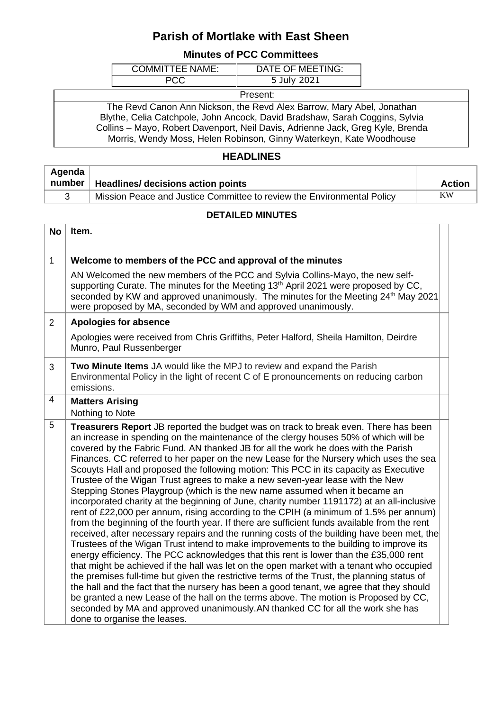## **Parish of Mortlake with East Sheen**

## **Minutes of PCC Committees**

| COMMITTFF NAMF <sup>T</sup> | DATE OF MEETING: |
|-----------------------------|------------------|
|                             | 5 July 2021      |

Present:

The Revd Canon Ann Nickson, the Revd Alex Barrow, Mary Abel, Jonathan Blythe, Celia Catchpole, John Ancock, David Bradshaw, Sarah Coggins, Sylvia Collins – Mayo, Robert Davenport, Neil Davis, Adrienne Jack, Greg Kyle, Brenda Morris, Wendy Moss, Helen Robinson, Ginny Waterkeyn, Kate Woodhouse

## **HEADLINES**

| Agenda |                                                                        |        |
|--------|------------------------------------------------------------------------|--------|
| number | Headlines/ decisions action points                                     | Action |
|        | Mission Peace and Justice Committee to review the Environmental Policy | ΚW     |

## **DETAILED MINUTES**

| <b>No</b>      | Item.                                                                                                                                                                                                                                                                                                                                                                                                                                                                                                                                                                                                                                                                                                                                                                                                                                                                                                                                                                                                                                                                                                                                                                                                                                                                                                                                                                                                                                                                                                                                                                                                                                                                                         |  |
|----------------|-----------------------------------------------------------------------------------------------------------------------------------------------------------------------------------------------------------------------------------------------------------------------------------------------------------------------------------------------------------------------------------------------------------------------------------------------------------------------------------------------------------------------------------------------------------------------------------------------------------------------------------------------------------------------------------------------------------------------------------------------------------------------------------------------------------------------------------------------------------------------------------------------------------------------------------------------------------------------------------------------------------------------------------------------------------------------------------------------------------------------------------------------------------------------------------------------------------------------------------------------------------------------------------------------------------------------------------------------------------------------------------------------------------------------------------------------------------------------------------------------------------------------------------------------------------------------------------------------------------------------------------------------------------------------------------------------|--|
| $\mathbf{1}$   | Welcome to members of the PCC and approval of the minutes                                                                                                                                                                                                                                                                                                                                                                                                                                                                                                                                                                                                                                                                                                                                                                                                                                                                                                                                                                                                                                                                                                                                                                                                                                                                                                                                                                                                                                                                                                                                                                                                                                     |  |
|                | AN Welcomed the new members of the PCC and Sylvia Collins-Mayo, the new self-<br>supporting Curate. The minutes for the Meeting 13 <sup>th</sup> April 2021 were proposed by CC,<br>seconded by KW and approved unanimously. The minutes for the Meeting 24 <sup>th</sup> May 2021<br>were proposed by MA, seconded by WM and approved unanimously.                                                                                                                                                                                                                                                                                                                                                                                                                                                                                                                                                                                                                                                                                                                                                                                                                                                                                                                                                                                                                                                                                                                                                                                                                                                                                                                                           |  |
| $\overline{2}$ | <b>Apologies for absence</b>                                                                                                                                                                                                                                                                                                                                                                                                                                                                                                                                                                                                                                                                                                                                                                                                                                                                                                                                                                                                                                                                                                                                                                                                                                                                                                                                                                                                                                                                                                                                                                                                                                                                  |  |
|                | Apologies were received from Chris Griffiths, Peter Halford, Sheila Hamilton, Deirdre<br>Munro, Paul Russenberger                                                                                                                                                                                                                                                                                                                                                                                                                                                                                                                                                                                                                                                                                                                                                                                                                                                                                                                                                                                                                                                                                                                                                                                                                                                                                                                                                                                                                                                                                                                                                                             |  |
| 3              | Two Minute Items JA would like the MPJ to review and expand the Parish<br>Environmental Policy in the light of recent C of E pronouncements on reducing carbon<br>emissions.                                                                                                                                                                                                                                                                                                                                                                                                                                                                                                                                                                                                                                                                                                                                                                                                                                                                                                                                                                                                                                                                                                                                                                                                                                                                                                                                                                                                                                                                                                                  |  |
| $\overline{4}$ | <b>Matters Arising</b><br>Nothing to Note                                                                                                                                                                                                                                                                                                                                                                                                                                                                                                                                                                                                                                                                                                                                                                                                                                                                                                                                                                                                                                                                                                                                                                                                                                                                                                                                                                                                                                                                                                                                                                                                                                                     |  |
| 5              | Treasurers Report JB reported the budget was on track to break even. There has been<br>an increase in spending on the maintenance of the clergy houses 50% of which will be<br>covered by the Fabric Fund. AN thanked JB for all the work he does with the Parish<br>Finances. CC referred to her paper on the new Lease for the Nursery which uses the sea<br>Scouyts Hall and proposed the following motion: This PCC in its capacity as Executive<br>Trustee of the Wigan Trust agrees to make a new seven-year lease with the New<br>Stepping Stones Playgroup (which is the new name assumed when it became an<br>incorporated charity at the beginning of June, charity number 1191172) at an all-inclusive<br>rent of £22,000 per annum, rising according to the CPIH (a minimum of 1.5% per annum)<br>from the beginning of the fourth year. If there are sufficient funds available from the rent<br>received, after necessary repairs and the running costs of the building have been met, the<br>Trustees of the Wigan Trust intend to make improvements to the building to improve its<br>energy efficiency. The PCC acknowledges that this rent is lower than the £35,000 rent<br>that might be achieved if the hall was let on the open market with a tenant who occupied<br>the premises full-time but given the restrictive terms of the Trust, the planning status of<br>the hall and the fact that the nursery has been a good tenant, we agree that they should<br>be granted a new Lease of the hall on the terms above. The motion is Proposed by CC,<br>seconded by MA and approved unanimously. AN thanked CC for all the work she has<br>done to organise the leases. |  |